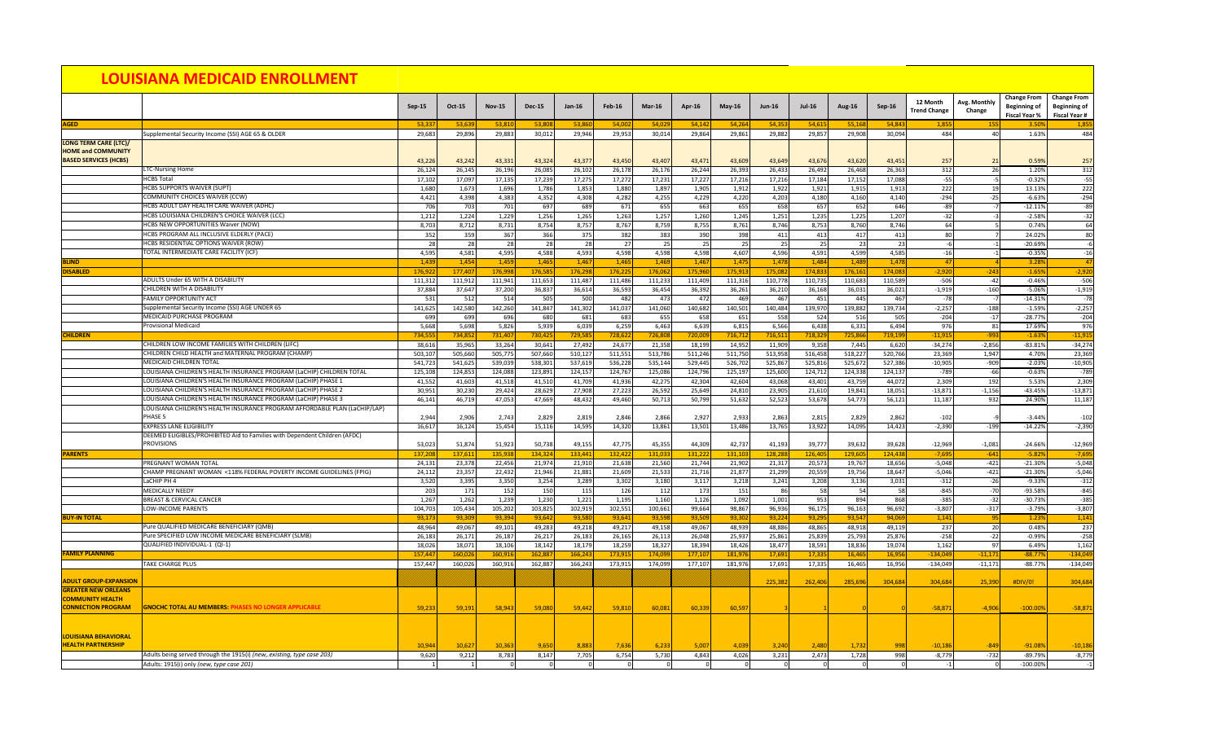|                                                           |                                                                                                                                         | Sep-15           | <b>Oct-15</b>    | <b>Nov-15</b>    | <b>Dec-15</b>    | $Jan-16$         | <b>Feb-16</b>    | $Mar-16$         | <b>Apr-16</b>    | $May-16$         | <b>Jun-16</b>    | <b>Jul-16</b>    | Aug-16           | Sep-16           | 12 Month<br><b>Trend Change</b> | Avg. Monthly<br>Change | <b>Change From</b><br><b>Beginning of</b><br><b>Fiscal Year %</b> | <b>Change From</b><br><b>Beginning of</b><br><b>Fiscal Year #</b> |
|-----------------------------------------------------------|-----------------------------------------------------------------------------------------------------------------------------------------|------------------|------------------|------------------|------------------|------------------|------------------|------------------|------------------|------------------|------------------|------------------|------------------|------------------|---------------------------------|------------------------|-------------------------------------------------------------------|-------------------------------------------------------------------|
| <b>AGED</b>                                               |                                                                                                                                         | 53,337           | 53,639           | 53,810           | 53.80            | 53,86            | 54,002           | 54,029           | 54,142           | 54,264           | 54,353           | 54,615           | 55,168           | 54,84            | 1,855                           |                        | 3.50%                                                             | 1,855                                                             |
|                                                           | Supplemental Security Income (SSI) AGE 65 & OLDER                                                                                       | 29,683           | 29,896           | 29,883           | 30,012           | 29,946           | 29,953           | 30,014           | 29,864           | 29,861           | 29,882           | 29,857           | 29,908           | 30,094           | 484                             |                        | 1.63%                                                             | 484                                                               |
| <b>LONG TERM CARE (LTC)/</b><br><b>HOME and COMMUNITY</b> |                                                                                                                                         |                  |                  |                  |                  |                  |                  |                  |                  |                  |                  |                  |                  |                  |                                 |                        |                                                                   |                                                                   |
| <b>BASED SERVICES (HCBS)</b>                              |                                                                                                                                         | 43,226           | 43,242           | 43,331           | 43,324           | 43,377           | 43,450           | 43,407           | 43,471           | 43,609           | 43,649           | 43,676           | 43,620           | 43,451           | 257                             |                        | 0.59%                                                             | 257                                                               |
|                                                           | <b>LTC-Nursing Home</b>                                                                                                                 | 26,124           | 26,145           | 26,196           | 26,085           | 26,102           | 26,178           | 26,176           | 26,244           | 26,393           | 26,433           | 26,492           | 26,468           | 26,363           | 312                             | 26                     | 1.20%                                                             | 312                                                               |
|                                                           | <b>HCBS Total</b>                                                                                                                       | 17,102           | 17,097           | 17,135           | 17,239           | 17,275           | 17,272           | 17,231           | 17,227           | 17,216           | 17,216           | 17,184           | 17,152           | 17,088           | $-55$                           |                        | $-0.32%$                                                          | $-55$                                                             |
|                                                           | <b>HCBS SUPPORTS WAIVER (SUPT)</b>                                                                                                      | 1,680            | 1,673            | 1,696            | 1,786            | 1,853            | 1,880            | 1,897            | 1,905            | 1,912            | 1,922            | 1,921            | 1,915            | 1,91             | 222                             |                        | 13.13%                                                            | 222                                                               |
|                                                           | <b>COMMUNITY CHOICES WAIVER (CCW)</b>                                                                                                   | 4,421            | 4,398            | 4,383            | 4,352            | 4,308            | 4,282            | 4,255            | 4,229            | 4,220            | 4,203            | 4,180            | 4,160            | 4,140            | $-294$                          | $-25$                  | $-6.63%$                                                          | $-294$                                                            |
|                                                           | HCBS ADULT DAY HEALTH CARE WAIVER (ADHC)<br>HCBS LOUISIANA CHILDREN'S CHOICE WAIVER (LCC)                                               | 706              | 703              | 701              | 697              | 689              | 671              | 655              | 663              | 655              | 658              | 657              | 652              | 646              | $-89$                           |                        | $-12.11%$                                                         | -89<br>$-32$                                                      |
|                                                           | HCBS NEW OPPORTUNITIES Waiver (NOW)                                                                                                     | 1,212<br>8,703   | 1,224<br>8,712   | 1,229<br>8,731   | 1,256<br>8,754   | 1,265<br>8,757   | 1,263<br>8,767   | 1,257<br>8,759   | 1,260<br>8,755   | 1,245<br>8,761   | 1,251<br>8,746   | 1,235<br>8,753   | 1,225<br>8,760   | 1,207<br>8,746   | $-32$<br>64                     |                        | $-2.58%$<br>0.74%                                                 | 64                                                                |
|                                                           | HCBS PROGRAM ALL INCLUSIVE ELDERLY (PACE)                                                                                               | 352              | 359              | 367              | 366              | 375              | 382              | 383              | 390              | 398              | 411              | 413              | 417              | -41              | 80 <sup>1</sup>                 |                        | 24.02%                                                            | 80                                                                |
|                                                           | HCBS RESIDENTIAL OPTIONS WAIVER (ROW)                                                                                                   | 28               | 28               | 28               | 28               | 28               | 27               | 25               | 25               | 25               | 25               | 25               | 23               |                  |                                 |                        | $-20.69%$                                                         | $-6$                                                              |
|                                                           | <b>TOTAL INTERMEDIATE CARE FACILITY (ICF)</b>                                                                                           | 4,595            | 4,581            | 4,595            | 4,588            | 4,593            | 4,598            | 4,598            | 4,598            | 4,607            | 4,596            | 4,591            | 4,599            | 4,585            | $-16$                           |                        | $-0.35%$                                                          | $-16$                                                             |
| <b>BLIND</b>                                              |                                                                                                                                         | 1,439            | 1,454            | 1,459            | 1,465            | 1,467            | 1,465            | 1,469            | 1,467            | 1,475            | 1,478            | 1,484            | 1,489            | 1,47             |                                 |                        | 3.28%                                                             | 47                                                                |
| <b>DISABLED</b>                                           |                                                                                                                                         | 176,922          | 177,407          | 176,998          | 176,585          | 176,298          | 176,22           | 176,062          | 175,960          | 175,913          | 175,082          | 174,83           | 176,16           | 174,08           | $-2,920$                        | $-243$                 | $-1.65%$                                                          | $-2,920$                                                          |
|                                                           | ADULTS Under 65 WITH A DISABILITY                                                                                                       | 111,312          | 111,912          | 111,941          | 111,653          | 111,487          | 111,486          | 111,233          | 111,409          | 111,316          | 110,778          | 110,735          | 110,683          | 110,589          | $-506$                          | $-42$                  | $-0.46%$                                                          | $-506$                                                            |
|                                                           | <b>CHILDREN WITH A DISABILITY</b><br><b>FAMILY OPPORTUNITY ACT</b>                                                                      | 37,884           | 37,647           | 37,200           | 36,837           | 36,614           | 36,593           | 36,454           | 36,392           | 36,261           | 36,210           | 36,168           | 36,031           | 36,021           | $-1,919$                        | $-160$                 | $-5.06%$                                                          | $-1,919$                                                          |
|                                                           | Supplemental Security Income (SSI) AGE UNDER 65                                                                                         | 531<br>141,625   | 512<br>142,580   | 514<br>142,260   | 505<br>141,847   | 500<br>141,302   | 482<br>141,037   | 473<br>141,060   | 472<br>140,682   | 469<br>140,501   | 467<br>140,484   | 451<br>139,970   | 445<br>139,882   | -46<br>139,734   | $-78$<br>$-2,257$               | $-188$                 | $-14.31%$<br>$-1.59%$                                             | $-78$<br>$-2,257$                                                 |
|                                                           | <b>MEDICAID PURCHASE PROGRAM</b>                                                                                                        | 699              | 69S              | 696              | 680              | 681              | 683              | 655              | 658              | 651              | 558              | 524              | 516              | 505              | $-204$                          | $-17$                  | $-28.77%$                                                         | $-204$                                                            |
|                                                           | <b>Provisional Medicaid</b>                                                                                                             | 5,668            | 5,698            | 5,826            | 5,939            | 6,039            | 6,259            | 6,463            | 6,639            | 6,815            | 6,566            | 6,438            | 6,331            | 6,494            | 976                             | -81                    | 17.69%                                                            | 976                                                               |
| <b>CHILDREN</b>                                           |                                                                                                                                         | 734,555          | 734,852          | 731,407          | 730,425          | 729,585          | 728,622          | 726,808          | 720,009          | 716,712          | 716,511          | 718,329          | 725,866          | 719,19           | $-11,915$                       | $-993$                 | $-1.63%$                                                          | $-11,915$                                                         |
|                                                           | CHILDREN LOW INCOME FAMILIES WITH CHILDREN (LIFC)                                                                                       | 38,616           | 35,965           | 33,264           | 30,641           | 27,492           | 24,677           | 21,358           | 18,199           | 14,952           | 11,909           | 9,358            | 7,445            | 6,620            | $-34,274$                       | $-2,856$               | $-83.81%$                                                         | $-34,274$                                                         |
|                                                           | CHILDREN CHILD HEALTH and MATERNAL PROGRAM (CHAMP)                                                                                      | 503,107          | 505,660          | 505,775          | 507,660          | 510,127          | 511,551          | 513,786          | 511,246          | 511,750          | 513,958          | 516,458          | 518,227          | 520,766          | 23,369                          | 1,947                  | 4.70%                                                             | 23,369                                                            |
|                                                           | MEDICAID CHILDREN TOTAL                                                                                                                 | 541,723          | 541,625          | 539,039          | 538,301          | 537,619          | 536,228          | 535,144          | 529,445          | 526,702          | 525,867          | 525,816          | 525,672          | 527,386          | $-10,905$                       | $-909$                 | $-2.03%$                                                          | $-10,905$                                                         |
|                                                           | LOUISIANA CHILDREN'S HEALTH INSURANCE PROGRAM (LaCHIP) CHILDREN TOTAL<br>LOUISIANA CHILDREN'S HEALTH INSURANCE PROGRAM (LaCHIP) PHASE 1 | 125,108          | 124,853          | 124,088          | 123,891          | 124,157          | 124,767          | 125,086          | 124,796          | 125,197          | 125,600          | 124,712          | 124,338          | 124,13           | $-789$                          | $-66$                  | $-0.63%$                                                          | $-789$                                                            |
|                                                           | LOUISIANA CHILDREN'S HEALTH INSURANCE PROGRAM (LaCHIP) PHASE 2                                                                          | 41,552<br>30,951 | 41,603<br>30,230 | 41,518<br>29,424 | 41,510<br>28,629 | 41,709<br>27,908 | 41,936<br>27,223 | 42,275<br>26,592 | 42,304<br>25,649 | 42,604<br>24,810 | 43,068<br>23,905 | 43,401<br>21,610 | 43,759<br>19,841 | 44,07<br>18,05   | 2,309<br>$-13,871$              | 192<br>$-1,156$        | 5.53%<br>$-43.45%$                                                | 2,309<br>$-13,871$                                                |
|                                                           | LOUISIANA CHILDREN'S HEALTH INSURANCE PROGRAM (LaCHIP) PHASE 3                                                                          | 46,141           | 46,719           | 47,053           | 47,669           | 48,432           | 49,460           | 50,713           | 50,799           | 51,632           | 52,523           | 53,678           | 54,773           | 56,12            | 11,187                          | 932                    | 24.90%                                                            | 11,187                                                            |
|                                                           | LOUISIANA CHILDREN'S HEALTH INSURANCE PROGRAM AFFORDABLE PLAN (LaCHIP/LAP)                                                              |                  |                  |                  |                  |                  |                  |                  |                  |                  |                  |                  |                  |                  |                                 |                        |                                                                   |                                                                   |
|                                                           | <b>PHASE 5</b>                                                                                                                          | 2,944            | 2,906            | 2,743            | 2,829            | 2,819            | 2,846            | 2,866            | 2,927            | 2,933            | 2,863            | 2,815            | 2,829            | 2,86             | $-102$                          |                        | $-3.44%$                                                          | $-102$                                                            |
|                                                           | <b>EXPRESS LANE ELIGIBILITY</b>                                                                                                         | 16,617           | 16,124           | 15,454           | 15,116           | 14,595           | 14,320           | 13,861           | 13,501           | 13,486           | 13,765           | 13,922           | 14,095           | 14,423           | $-2,390$                        | $-199$                 | $-14.22%$                                                         | $-2,390$                                                          |
|                                                           | DEEMED ELIGIBLES/PROHIBITED Aid to Families with Dependent Children (AFDC)                                                              |                  |                  |                  |                  |                  |                  |                  |                  |                  |                  |                  |                  |                  |                                 |                        |                                                                   |                                                                   |
|                                                           | <b>PROVISIONS</b>                                                                                                                       | 53,023           | 51,874           | 51,923           | 50,738           | 49,155           | 47,775           | 45,355           | 44,309           | 42,737           | 41,193           | 39,777           | 39,632           | 39,62            | $-12,969$                       | $-1,081$               | $-24.66%$                                                         | $-12,969$                                                         |
| <b>PARENTS</b>                                            |                                                                                                                                         | 137,208          | 137,611          | 135,938          | 134,324          | 133,441          | 132,42           | 131,03           | 131,222          | 131,103          | 128,288          | 126,405          | 129,60           | 124,43           | $-7,695$                        | $-641$                 | $-5.82%$                                                          | $-7,695$                                                          |
|                                                           | <b>PREGNANT WOMAN TOTAL</b><br>CHAMP PREGNANT WOMAN <118% FEDERAL POVERTY INCOME GUIDELINES (FPIG)                                      | 24,131<br>24,112 | 23,378<br>23,357 | 22,456<br>22,432 | 21,974<br>21,946 | 21,910<br>21,881 | 21,638<br>21,609 | 21,560<br>21,533 | 21,744<br>21,716 | 21,902<br>21,877 | 21,317<br>21,299 | 20,573<br>20,559 | 19,767<br>19,756 | 18,656<br>18,647 | $-5,048$<br>$-5,046$            | $-421$<br>$-421$       | $-21.30%$<br>$-21.30%$                                            | $-5,048$<br>$-5,046$                                              |
|                                                           | LaCHIP PH 4                                                                                                                             | 3,520            | 3,395            | 3,350            | 3,254            | 3,289            | 3,302            | 3,180            | 3,117            | 3,218            | 3,241            | 3,208            | 3,136            | 3,031            | $-312$                          | $-26$                  | $-9.33%$                                                          | $-312$                                                            |
|                                                           | MEDICALLY NEEDY                                                                                                                         | 203              | 171              | 152              | 150              | 115              | 126              | 112              | 173              | 151              | -86 <b> </b>     | <b>58</b>        | 54               |                  | $-845$                          | $-70$                  | -93.58%                                                           | $-845$                                                            |
|                                                           | <b>BREAST &amp; CERVICAL CANCER</b>                                                                                                     | 1,267            | 1,262            | 1,239            | 1,230            | 1,221            | 1,195            | 1,160            | 1,126            | 1,092            | 1,001            | 953              | 894              | 868              | $-385$                          | $-32$                  | $-30.73%$                                                         | $-385$                                                            |
|                                                           | LOW-INCOME PARENTS                                                                                                                      | 104,703          | 105,434          | 105,202          | 103,825          | 102,919          | 102,551          | 100,661          | 99,664           | 98,867           | 96,936           | 96,175           | 96,163           | 96,692           | $-3,807$                        | $-317$                 | $-3.79%$                                                          | $-3,807$                                                          |
| <b>BUY-IN TOTAL</b>                                       |                                                                                                                                         | 93,17            | 93,309           | 93,394           | 93,642           | 93,580           | 93,641           | 93,598           | 93,509           | 93,302           | 93,224           | 93,295           | 93,547           | 94,06            | 1,141                           |                        | 1.23%                                                             | 1,141                                                             |
|                                                           | Pure QUALIFIED MEDICARE BENEFICIARY (QMB)                                                                                               | 48,964           | 49,067           | 49,101           | 49,283           | 49,218           | 49,217           | 49,158           | 49,067           | 48,939           | 48,886           | 48,865           | 48,918           | 49,11            | 237                             |                        | 0.48%                                                             | 237<br>$-258$                                                     |
|                                                           | Pure SPECIFIED LOW INCOME MEDICARE BENEFICIARY (SLMB)<br>QUALIFIED INDIVIDUAL-1 (QI-1)                                                  | 26,183<br>18,026 | 26,171<br>18,071 | 26,187<br>18,106 | 26,217<br>18,142 | 26,183<br>18,179 | 26,165<br>18,259 | 26,113<br>18,327 | 26,048<br>18,394 | 25,937<br>18,426 | 25,861<br>18,477 | 25,839<br>18,591 | 25,793<br>18,836 | 25,876<br>19,074 | $-258$<br>1,162                 | $-22$<br>- 97          | $-0.99%$<br>6.49%                                                 | 1,162                                                             |
| <b>FAMILY PLANNING</b>                                    |                                                                                                                                         | 157,44           | 160,026          | 160,916          | 162,887          | 166,243          | 173,91           | 174,099          | 177,107          | 181,976          | 17,691           | 17,335           | 16,465           | 16,95            | $-134,049$                      | $-11,171$              | $-88.77%$                                                         | $-134,049$                                                        |
|                                                           | <b>TAKE CHARGE PLUS</b>                                                                                                                 | 157,447          | 160,026          | 160,916          | 162,887          | 166,243          | 173,91           | 174,099          | 177,107          | 181,976          | 17,691           | 17,335           | 16,465           | 16,956           | $-134,049$                      | $-11,171$              | $-88.77%$                                                         | $-134,049$                                                        |
|                                                           |                                                                                                                                         |                  |                  |                  |                  |                  |                  |                  |                  |                  |                  |                  |                  |                  |                                 |                        |                                                                   |                                                                   |
| <b>ADULT GROUP-EXPANSION</b>                              |                                                                                                                                         |                  |                  |                  |                  |                  |                  |                  |                  |                  | 225,382          | 262,406          | 285,69           | 304,68           | 304,684                         | 25,390                 | #DIV/0!                                                           | 304,684                                                           |
| <b>GREATER NEW ORLEANS</b>                                |                                                                                                                                         |                  |                  |                  |                  |                  |                  |                  |                  |                  |                  |                  |                  |                  |                                 |                        |                                                                   |                                                                   |
| <b>COMMUNITY HEALTH</b>                                   |                                                                                                                                         |                  |                  |                  |                  |                  |                  |                  |                  |                  |                  |                  |                  |                  |                                 |                        |                                                                   |                                                                   |
| <b>CONNECTION PROGRAM</b>                                 | <b>GNOCHC TOTAL AU MEMBERS: PHASES NO LONGER APPLICABLE</b>                                                                             | 59,233           | 59,191           | 58.943           | 59,080           | 59,442           | 59,810           | 60,08            | 60,339           | 60,597           |                  |                  |                  |                  | $-58,871$                       | $-4.906$               | $-100.00%$                                                        | $-58,871$                                                         |
|                                                           |                                                                                                                                         |                  |                  |                  |                  |                  |                  |                  |                  |                  |                  |                  |                  |                  |                                 |                        |                                                                   |                                                                   |
| LOUISIANA BEHAVIORAL                                      |                                                                                                                                         |                  |                  |                  |                  |                  |                  |                  |                  |                  |                  |                  |                  |                  |                                 |                        |                                                                   |                                                                   |
| <b>HEALTH PARTNERSHIP</b>                                 |                                                                                                                                         | 10,944           | 10,627           | 10,363           | 9,650            | 8,883            | 7,636            | 6,233            | 5,007            | 4,039            | 3,240            | 2,480            | 1,732            | -998             | $-10,186$                       | $-849$                 | -91.08%                                                           | $-10,186$                                                         |
|                                                           | Adults being served through the 1915(i) (new, existing, type case 203)                                                                  | 9,620            | 9,212            | 8,783            | 8,147            | 7,705            | 6,754            | 5,730            | 4,843            | 4,026            | 3,231            | 2,473            | 1,728            | 998              | $-8,779$                        | $-732$                 | $-89.79%$                                                         | $-8,779$                                                          |
|                                                           | Adults: 1915(i) only (new, type case 201)                                                                                               |                  |                  |                  |                  |                  |                  |                  |                  |                  |                  |                  |                  |                  |                                 |                        | $-100.00%$                                                        |                                                                   |
|                                                           |                                                                                                                                         |                  |                  |                  |                  |                  |                  |                  |                  |                  |                  |                  |                  |                  |                                 |                        |                                                                   |                                                                   |